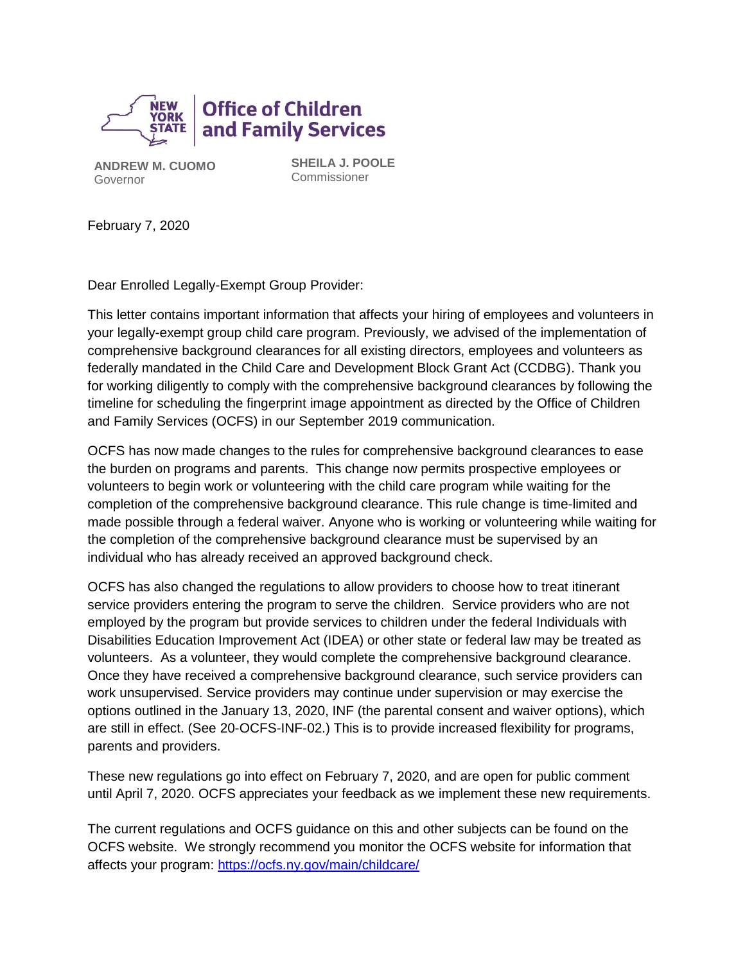

**ANDREW M. CUOMO** Governor

**SHEILA J. POOLE** Commissioner

February 7, 2020

Dear Enrolled Legally-Exempt Group Provider:

This letter contains important information that affects your hiring of employees and volunteers in your legally-exempt group child care program. Previously, we advised of the implementation of comprehensive background clearances for all existing directors, employees and volunteers as federally mandated in the Child Care and Development Block Grant Act (CCDBG). Thank you for working diligently to comply with the comprehensive background clearances by following the timeline for scheduling the fingerprint image appointment as directed by the Office of Children and Family Services (OCFS) in our September 2019 communication.

OCFS has now made changes to the rules for comprehensive background clearances to ease the burden on programs and parents. This change now permits prospective employees or volunteers to begin work or volunteering with the child care program while waiting for the completion of the comprehensive background clearance. This rule change is time-limited and made possible through a federal waiver. Anyone who is working or volunteering while waiting for the completion of the comprehensive background clearance must be supervised by an individual who has already received an approved background check.

OCFS has also changed the regulations to allow providers to choose how to treat itinerant service providers entering the program to serve the children. Service providers who are not employed by the program but provide services to children under the federal Individuals with Disabilities Education Improvement Act (IDEA) or other state or federal law may be treated as volunteers. As a volunteer, they would complete the comprehensive background clearance. Once they have received a comprehensive background clearance, such service providers can work unsupervised. Service providers may continue under supervision or may exercise the options outlined in the January 13, 2020, INF (the parental consent and waiver options), which are still in effect. (See 20-OCFS-INF-02.) This is to provide increased flexibility for programs, parents and providers.

These new regulations go into effect on February 7, 2020, and are open for public comment until April 7, 2020. OCFS appreciates your feedback as we implement these new requirements.

The current regulations and OCFS guidance on this and other subjects can be found on the OCFS website. We strongly recommend you monitor the OCFS website for information that affects your program: <https://ocfs.ny.gov/main/childcare/>